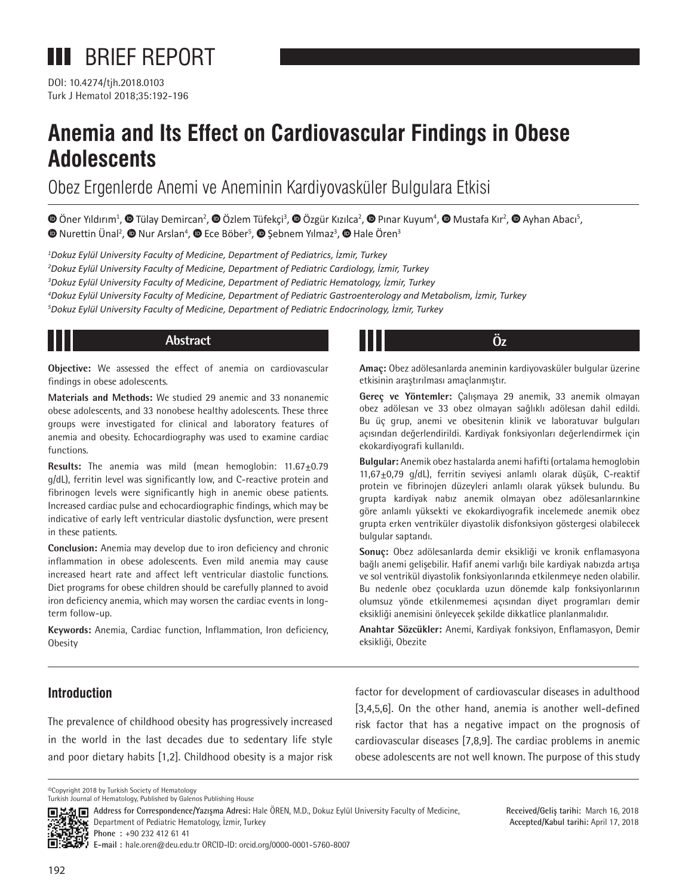

DOI: 10.4274/tjh.2018.0103 Turk J Hematol 2018;35:192-196

# **Anemia and Its Effect on Cardiovascular Findings in Obese Adolescents**

Obez Ergenlerde Anemi ve Aneminin Kardiyovasküler Bulgulara Etkisi

OnerYıldırım<sup>1</sup>, © Tülay Demircan<sup>2</sup>, © Özlem Tüfekçi<sup>3</sup>, © Özgür Kızılca<sup>2</sup>, © Pınar Kuyum<sup>4</sup>, © Mustafa Kır<sup>2</sup>, © Ayhan Abacı<sup>5</sup>,  $N$ urettinÜnal<sup>2</sup>,  $\bullet$  Nur Arslan<sup>4</sup>,  $\bullet$  Ece Böber<sup>5</sup>,  $\bullet$  Şebnem Yılmaz<sup>3</sup>,  $\bullet$  Hale Ören<sup>3</sup>

 *Dokuz Eylül University Faculty of Medicine, Department of Pediatrics, İzmir, Turkey Dokuz Eylül University Faculty of Medicine, Department of Pediatric Cardiology, İzmir, Turkey Dokuz Eylül University Faculty of Medicine, Department of Pediatric Hematology, İzmir, Turkey Dokuz Eylül University Faculty of Medicine, Department of Pediatric Gastroenterology and Metabolism, İzmir, Turkey Dokuz Eylül University Faculty of Medicine, Department of Pediatric Endocrinology, İzmir, Turkey*

# **Abstract Öz**

**Objective:** We assessed the effect of anemia on cardiovascular findings in obese adolescents.

**Materials and Methods:** We studied 29 anemic and 33 nonanemic obese adolescents, and 33 nonobese healthy adolescents. These three groups were investigated for clinical and laboratory features of anemia and obesity. Echocardiography was used to examine cardiac functions.

**Results:** The anemia was mild (mean hemoglobin: 11.67±0.79 g/dL), ferritin level was significantly low, and C-reactive protein and fibrinogen levels were significantly high in anemic obese patients. Increased cardiac pulse and echocardiographic findings, which may be indicative of early left ventricular diastolic dysfunction, were present in these patients.

**Conclusion:** Anemia may develop due to iron deficiency and chronic inflammation in obese adolescents. Even mild anemia may cause increased heart rate and affect left ventricular diastolic functions. Diet programs for obese children should be carefully planned to avoid iron deficiency anemia, which may worsen the cardiac events in longterm follow-up.

**Keywords:** Anemia, Cardiac function, Inflammation, Iron deficiency, Obesity

**Amaç:** Obez adölesanlarda aneminin kardiyovasküler bulgular üzerine etkisinin araştırılması amaçlanmıştır.

**Gereç ve Yöntemler:** Çalışmaya 29 anemik, 33 anemik olmayan obez adölesan ve 33 obez olmayan sağlıklı adölesan dahil edildi. Bu üç grup, anemi ve obesitenin klinik ve laboratuvar bulguları açısından değerlendirildi. Kardiyak fonksiyonları değerlendirmek için ekokardiyografi kullanıldı.

**Bulgular:** Anemik obez hastalarda anemi hafifti (ortalama hemoglobin 11,67±0,79 g/dL), ferritin seviyesi anlamlı olarak düşük, C-reaktif protein ve fibrinojen düzeyleri anlamlı olarak yüksek bulundu. Bu grupta kardiyak nabız anemik olmayan obez adölesanlarınkine göre anlamlı yüksekti ve ekokardiyografik incelemede anemik obez grupta erken ventriküler diyastolik disfonksiyon göstergesi olabilecek bulgular saptandı.

**Sonuç:** Obez adölesanlarda demir eksikliği ve kronik enflamasyona bağlı anemi gelişebilir. Hafif anemi varlığı bile kardiyak nabızda artışa ve sol ventrikül diyastolik fonksiyonlarında etkilenmeye neden olabilir. Bu nedenle obez çocuklarda uzun dönemde kalp fonksiyonlarının olumsuz yönde etkilenmemesi açısından diyet programları demir eksikliği anemisini önleyecek şekilde dikkatlice planlanmalıdır.

**Anahtar Sözcükler:** Anemi, Kardiyak fonksiyon, Enflamasyon, Demir eksikliği, Obezite

## **Introduction**

The prevalence of childhood obesity has progressively increased in the world in the last decades due to sedentary life style and poor dietary habits [1,2]. Childhood obesity is a major risk factor for development of cardiovascular diseases in adulthood [3,4,5,6]. On the other hand, anemia is another well-defined risk factor that has a negative impact on the prognosis of cardiovascular diseases [7,8,9]. The cardiac problems in anemic obese adolescents are not well known. The purpose of this study

©Copyright 2018 by Turkish Society of Hematology Turkish Journal of Hematology, Published by Galenos Publishing House



**Address for Correspondence/Yazışma Adresi:** Hale ÖREN, M.D., Dokuz Eylül University Faculty of Medicine, Department of Pediatric Hematology, İzmir, Turkey

**Received/Geliş tarihi:** March 16, 2018 **Accepted/Kabul tarihi:** April 17, 2018

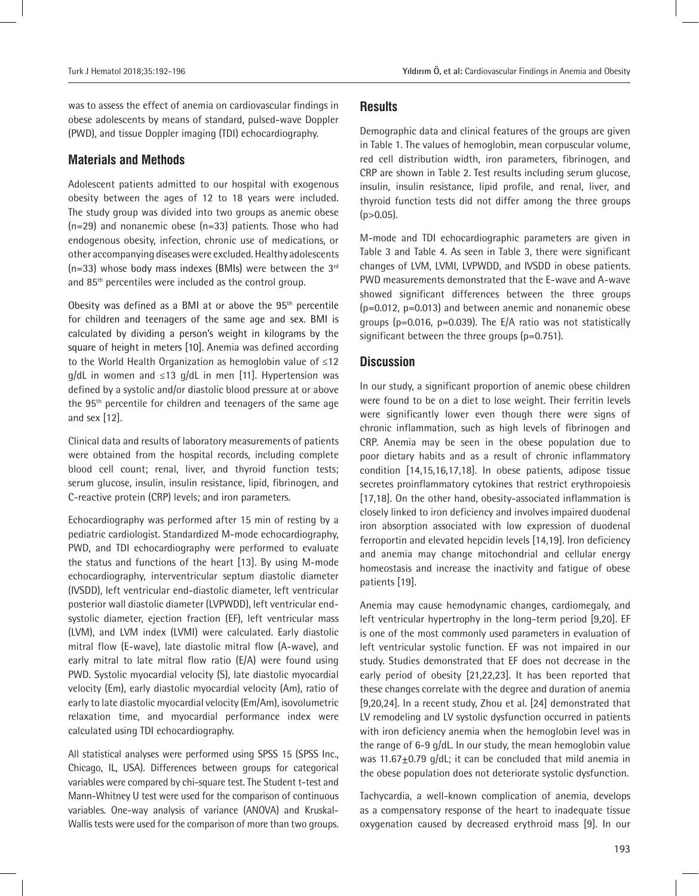was to assess the effect of anemia on cardiovascular findings in obese adolescents by means of standard, pulsed-wave Doppler (PWD), and tissue Doppler imaging (TDI) echocardiography.

#### **Materials and Methods**

Adolescent patients admitted to our hospital with exogenous obesity between the ages of 12 to 18 years were included. The study group was divided into two groups as anemic obese (n=29) and nonanemic obese (n=33) patients. Those who had endogenous obesity, infection, chronic use of medications, or other accompanying diseases were excluded. Healthy adolescents (n=33) whose body mass indexes (BMIs) were between the  $3<sup>rd</sup>$ and 85th percentiles were included as the control group.

Obesity was defined as a BMI at or above the  $95<sup>th</sup>$  percentile for children and teenagers of the same age and sex. BMI is calculated by dividing a person's weight in kilograms by the square of height in meters [10]. Anemia was defined according to the World Health Organization as hemoglobin value of ≤12 g/dL in women and ≤13 g/dL in men [11]. Hypertension was defined by a systolic and/or diastolic blood pressure at or above the 95th percentile for children and teenagers of the same age and sex [12].

Clinical data and results of laboratory measurements of patients were obtained from the hospital records, including complete blood cell count; renal, liver, and thyroid function tests; serum glucose, insulin, insulin resistance, lipid, fibrinogen, and C-reactive protein (CRP) levels; and iron parameters.

Echocardiography was performed after 15 min of resting by a pediatric cardiologist. Standardized M-mode echocardiography, PWD, and TDI echocardiography were performed to evaluate the status and functions of the heart [13]. By using M-mode echocardiography, interventricular septum diastolic diameter (IVSDD), left ventricular end-diastolic diameter, left ventricular posterior wall diastolic diameter (LVPWDD), left ventricular endsystolic diameter, ejection fraction (EF), left ventricular mass (LVM), and LVM index (LVMI) were calculated. Early diastolic mitral flow (E-wave), late diastolic mitral flow (A-wave), and early mitral to late mitral flow ratio (E/A) were found using PWD. Systolic myocardial velocity (S), late diastolic myocardial velocity (Em), early diastolic myocardial velocity (Am), ratio of early to late diastolic myocardial velocity (Em/Am), isovolumetric relaxation time, and myocardial performance index were calculated using TDI echocardiography.

All statistical analyses were performed using SPSS 15 (SPSS Inc., Chicago, IL, USA). Differences between groups for categorical variables were compared by chi-square test. The Student t-test and Mann-Whitney U test were used for the comparison of continuous variables. One-way analysis of variance (ANOVA) and Kruskal-Wallis tests were used for the comparison of more than two groups.

#### **Results**

Demographic data and clinical features of the groups are given in Table 1. The values of hemoglobin, mean corpuscular volume, red cell distribution width, iron parameters, fibrinogen, and CRP are shown in Table 2. Test results including serum glucose, insulin, insulin resistance, lipid profile, and renal, liver, and thyroid function tests did not differ among the three groups  $(p>0.05)$ .

M-mode and TDI echocardiographic parameters are given in Table 3 and Table 4. As seen in Table 3, there were significant changes of LVM, LVMI, LVPWDD, and IVSDD in obese patients. PWD measurements demonstrated that the E-wave and A-wave showed significant differences between the three groups (p=0.012, p=0.013) and between anemic and nonanemic obese groups (p=0.016, p=0.039). The E/A ratio was not statistically significant between the three groups (p=0.751).

#### **Discussion**

In our study, a significant proportion of anemic obese children were found to be on a diet to lose weight. Their ferritin levels were significantly lower even though there were signs of chronic inflammation, such as high levels of fibrinogen and CRP. Anemia may be seen in the obese population due to poor dietary habits and as a result of chronic inflammatory condition [14,15,16,17,18]. In obese patients, adipose tissue secretes proinflammatory cytokines that restrict erythropoiesis [17,18]. On the other hand, obesity-associated inflammation is closely linked to iron deficiency and involves impaired duodenal iron absorption associated with low expression of duodenal ferroportin and elevated hepcidin levels [14,19]. Iron deficiency and anemia may change mitochondrial and cellular energy homeostasis and increase the inactivity and fatigue of obese patients [19].

Anemia may cause hemodynamic changes, cardiomegaly, and left ventricular hypertrophy in the long-term period [9,20]. EF is one of the most commonly used parameters in evaluation of left ventricular systolic function. EF was not impaired in our study. Studies demonstrated that EF does not decrease in the early period of obesity [21,22,23]. It has been reported that these changes correlate with the degree and duration of anemia [9,20,24]. In a recent study, Zhou et al. [24] demonstrated that LV remodeling and LV systolic dysfunction occurred in patients with iron deficiency anemia when the hemoglobin level was in the range of 6-9 g/dL. In our study, the mean hemoglobin value was 11.67 $\pm$ 0.79 g/dL; it can be concluded that mild anemia in the obese population does not deteriorate systolic dysfunction.

Tachycardia, a well-known complication of anemia, develops as a compensatory response of the heart to inadequate tissue oxygenation caused by decreased erythroid mass [9]. In our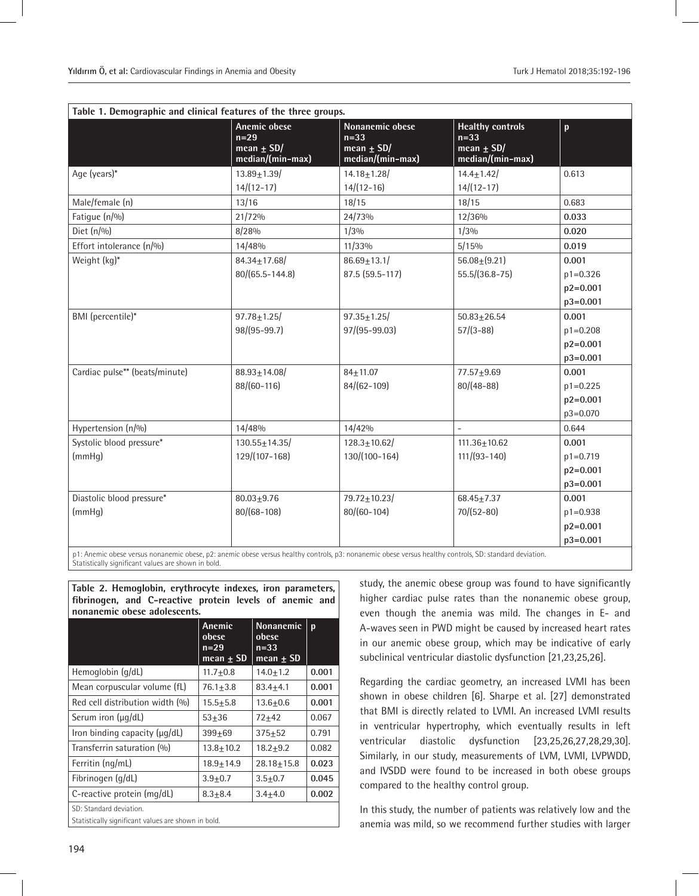| Table 1. Demographic and clinical features of the three groups. |                                                                     |                                                                 |                                                                         |              |  |
|-----------------------------------------------------------------|---------------------------------------------------------------------|-----------------------------------------------------------------|-------------------------------------------------------------------------|--------------|--|
|                                                                 | <b>Anemic obese</b><br>$n=29$<br>mean $\pm$ SD/<br>median/(min-max) | Nonanemic obese<br>$n=33$<br>mean $\pm$ SD/<br>median/(min-max) | <b>Healthy controls</b><br>$n=33$<br>mean $\pm$ SD/<br>median/(min-max) | p            |  |
| Age (years)*                                                    | $13.89 \pm 1.39$                                                    | $14.18 \pm 1.28$                                                | $14.4 \pm 1.42$                                                         | 0.613        |  |
|                                                                 | $14/(12-17)$                                                        | $14/(12-16)$                                                    | $14/(12-17)$                                                            |              |  |
| Male/female (n)                                                 | 13/16                                                               | 18/15                                                           | 18/15                                                                   | 0.683        |  |
| Fatique (n/%)                                                   | 21/72%                                                              | 24/73%                                                          | 12/36%                                                                  | 0.033        |  |
| Diet $(n/90)$                                                   | 8/28%                                                               | 1/3%                                                            | 1/3%                                                                    | 0.020        |  |
| Effort intolerance (n/%)                                        | 14/48%                                                              | 11/33%                                                          | 5/15%                                                                   | 0.019        |  |
| Weight (kg)*                                                    | $84.34 \pm 17.68$                                                   | $86.69 \pm 13.1/$                                               | $56.08 \pm (9.21)$                                                      | 0.001        |  |
|                                                                 | 80/(65.5-144.8)                                                     | 87.5 (59.5-117)                                                 | $55.5/(36.8-75)$                                                        | $p1 = 0.326$ |  |
|                                                                 |                                                                     |                                                                 |                                                                         | $p2 = 0.001$ |  |
|                                                                 |                                                                     |                                                                 |                                                                         | $p3 = 0.001$ |  |
| BMI (percentile)*                                               | $97.78 \pm 1.25$                                                    | $97.35 \pm 1.25$                                                | $50.83 \pm 26.54$                                                       | 0.001        |  |
|                                                                 | 98/(95-99.7)                                                        | 97/(95-99.03)                                                   | $57/(3 - 88)$                                                           | $p1 = 0.208$ |  |
|                                                                 |                                                                     |                                                                 |                                                                         | $p2 = 0.001$ |  |
|                                                                 |                                                                     |                                                                 |                                                                         | p3=0.001     |  |
| Cardiac pulse** (beats/minute)                                  | $88.93 \pm 14.08$                                                   | $84 + 11.07$                                                    | $77.57 + 9.69$                                                          | 0.001        |  |
|                                                                 | 88/(60-116)                                                         | $84/(62-109)$                                                   | $80/(48-88)$                                                            | $p1 = 0.225$ |  |
|                                                                 |                                                                     |                                                                 |                                                                         | $p2 = 0.001$ |  |
|                                                                 |                                                                     |                                                                 |                                                                         | p3=0.070     |  |
| Hypertension (n/%)                                              | 14/48%                                                              | 14/42%                                                          |                                                                         | 0.644        |  |
| Systolic blood pressure*                                        | $130.55 \pm 14.35$                                                  | $128.3 \pm 10.62$                                               | $111.36 \pm 10.62$                                                      | 0.001        |  |
| (mmHq)                                                          | 129/(107-168)                                                       | 130/(100-164)                                                   | $111/(93 - 140)$                                                        | p1=0.719     |  |
|                                                                 |                                                                     |                                                                 |                                                                         | $p2 = 0.001$ |  |
|                                                                 |                                                                     |                                                                 |                                                                         | $p3 = 0.001$ |  |
| Diastolic blood pressure*                                       | $80.03 + 9.76$                                                      | $79.72 \pm 10.23$                                               | $68.45 \pm 7.37$                                                        | 0.001        |  |
| (mmHq)                                                          | $80/(68-108)$                                                       | $80/(60-104)$                                                   | $70/(52-80)$                                                            | $p1 = 0.938$ |  |
|                                                                 |                                                                     |                                                                 |                                                                         | $p2 = 0.001$ |  |
|                                                                 |                                                                     |                                                                 |                                                                         | $p3 = 0.001$ |  |

p1: Anemic obese versus nonanemic obese, p2: anemic obese versus healthy controls, p3: nonanemic obese versus healthy controls, SD: standard deviation. Statistically significant values are shown in bold.

**Table 2. Hemoglobin, erythrocyte indexes, iron parameters, fibrinogen, and C-reactive protein levels of anemic and nonanemic obese adolescents.**

|                                                     | Anemic<br>obese<br>$n = 29$<br>$mean + SD$ | <b>Nonanemic</b><br>obese<br>$n = 33$<br>$mean + SD$ | $\mathbf{p}$ |  |
|-----------------------------------------------------|--------------------------------------------|------------------------------------------------------|--------------|--|
| Hemoglobin (g/dL)                                   | $11.7 + 0.8$                               | $14.0 + 1.2$                                         | 0.001        |  |
| Mean corpuscular volume (fL)                        | $76.1 + 3.8$                               | $83.4 + 4.1$                                         | 0.001        |  |
| Red cell distribution width (%)                     | $15.5 + 5.8$                               | $13.6 + 0.6$                                         | 0.001        |  |
| Serum iron (µg/dL)                                  | $53 + 36$                                  | $72 + 42$                                            | 0.067        |  |
| Iron binding capacity (µg/dL)                       | $399 + 69$                                 | $375 + 52$                                           | 0.791        |  |
| Transferrin saturation (%)                          | $13.8 + 10.2$                              | $18.2 + 9.2$                                         | 0.082        |  |
| Ferritin (ng/mL)                                    | $18.9 + 14.9$                              | $28.18 + 15.8$                                       | 0.023        |  |
| Fibrinogen (g/dL)                                   | $3.9 + 0.7$                                | $3.5 + 0.7$                                          | 0.045        |  |
| C-reactive protein (mg/dL)                          | $8.3 + 8.4$                                | $3.4 + 4.0$                                          | 0.002        |  |
| SD: Standard deviation.                             |                                            |                                                      |              |  |
| Statistically significant values are shown in bold. |                                            |                                                      |              |  |

study, the anemic obese group was found to have significantly higher cardiac pulse rates than the nonanemic obese group, even though the anemia was mild. The changes in E- and A-waves seen in PWD might be caused by increased heart rates in our anemic obese group, which may be indicative of early subclinical ventricular diastolic dysfunction [21,23,25,26].

Regarding the cardiac geometry, an increased LVMI has been shown in obese children [6]. Sharpe et al. [27] demonstrated that BMI is directly related to LVMI. An increased LVMI results in ventricular hypertrophy, which eventually results in left ventricular diastolic dysfunction [23,25,26,27,28,29,30]. Similarly, in our study, measurements of LVM, LVMI, LVPWDD, and IVSDD were found to be increased in both obese groups compared to the healthy control group.

In this study, the number of patients was relatively low and the anemia was mild, so we recommend further studies with larger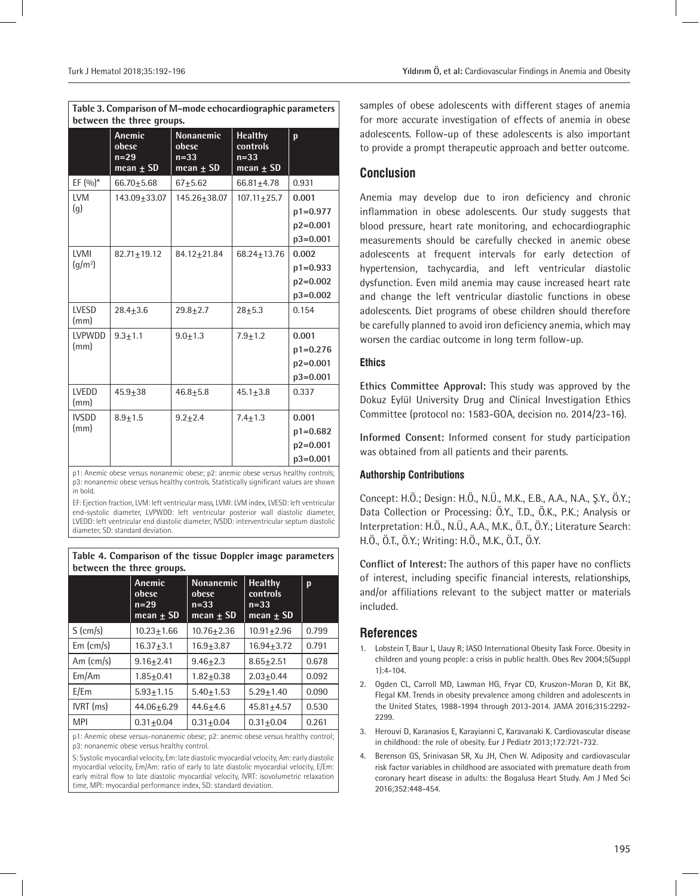| between the three groups. |                                            |                                                      |                                                       |              |  |
|---------------------------|--------------------------------------------|------------------------------------------------------|-------------------------------------------------------|--------------|--|
|                           | Anemic<br>obese<br>$n=29$<br>mean $\pm$ SD | <b>Nonanemic</b><br>obese<br>$n=33$<br>mean $\pm$ SD | <b>Healthy</b><br>controls<br>$n=33$<br>mean $\pm$ SD | p            |  |
| EF $(0/0)^*$              | 66.70 $\pm$ 5.68                           | $67 + 5.62$                                          | $66.81 + 4.78$                                        | 0.931        |  |
| <b>LVM</b>                | 143.09+33.07                               | 145.26+38.07                                         | $107.11 + 25.7$                                       | 0.001        |  |
| (g)                       |                                            |                                                      |                                                       | $p1 = 0.977$ |  |
|                           |                                            |                                                      |                                                       | $p2 = 0.001$ |  |
|                           |                                            |                                                      |                                                       | $p3 = 0.001$ |  |
| LVMI                      | $82.71 + 19.12$                            | 84.12+21.84                                          | 68.24+13.76                                           | 0.002        |  |
| (q/m <sup>2</sup> )       |                                            |                                                      |                                                       | $p1 = 0.933$ |  |
|                           |                                            |                                                      |                                                       | $p2 = 0.002$ |  |
|                           |                                            |                                                      |                                                       | $p3 = 0.002$ |  |
| LVESD<br>(mm)             | $28.4 + 3.6$                               | $29.8 + 2.7$                                         | $28 + 5.3$                                            | 0.154        |  |
| LVPWDD                    | $9.3 + 1.1$                                | $9.0 + 1.3$                                          | $7.9 + 1.2$                                           | 0.001        |  |
| (mm)                      |                                            |                                                      |                                                       | $p1 = 0.276$ |  |
|                           |                                            |                                                      |                                                       | $p2 = 0.001$ |  |
|                           |                                            |                                                      |                                                       | $p3 = 0.001$ |  |
| LVEDD<br>(mm)             | $45.9 + 38$                                | $46.8 + 5.8$                                         | $45.1 + 3.8$                                          | 0.337        |  |
| <b>IVSDD</b>              | $8.9 + 1.5$                                | $9.2 + 2.4$                                          | $7.4 + 1.3$                                           | 0.001        |  |
| (mm)                      |                                            |                                                      |                                                       | $p1 = 0.682$ |  |
|                           |                                            |                                                      |                                                       | $p2 = 0.001$ |  |
|                           |                                            |                                                      |                                                       | $p3 = 0.001$ |  |

**Table 3. Comparison of M-mode echocardiographic parameters** 

p1: Anemic obese versus nonanemic obese; p2: anemic obese versus healthy controls; p3: nonanemic obese versus healthy controls. Statistically significant values are shown in bold.

EF: Ejection fraction, LVM: left ventricular mass, LVMI: LVM index, LVESD: left ventricular end-systolic diameter, LVPWDD: left ventricular posterior wall diastolic diameter, LVEDD: left ventricular end diastolic diameter, IVSDD: interventricular septum diastolic diameter, SD: standard deviation.

#### **Table 4. Comparison of the tissue Doppler image parameters between the three groups.**

|                  | Anemic<br>obese<br>$n=29$<br>$mean + SD$ | <b>Nonanemic</b><br>obese<br>$n = 33$<br>mean $\pm$ SD | <b>Healthy</b><br>controls<br>$n = 33$<br>$mean + SD$ | p     |
|------------------|------------------------------------------|--------------------------------------------------------|-------------------------------------------------------|-------|
| $S$ (cm/s)       | $10.23 + 1.66$                           | $10.76 + 2.36$                                         | $10.91 + 2.96$                                        | 0.799 |
| $Em$ (cm/s)      | $16.37 + 3.1$                            | $16.9 + 3.87$                                          | $16.94 + 3.72$                                        | 0.791 |
| Am $\text{cm/s}$ | $9.16 + 2.41$                            | $9.46 + 2.3$                                           | $8.65 + 2.51$                                         | 0.678 |
| Em/Am            | $1.85 + 0.41$                            | $1.82 + 0.38$                                          | $2.03 + 0.44$                                         | 0.092 |
| E/Em             | $5.93 + 1.15$                            | $5.40 + 1.53$                                          | $5.29 + 1.40$                                         | 0.090 |
| $IVRT$ (ms)      | $44.06 + 6.29$                           | $44.6 + 4.6$                                           | $45.81 + 4.57$                                        | 0.530 |
| <b>MPI</b>       | $0.31 + 0.04$                            | $0.31 + 0.04$                                          | $0.31 + 0.04$                                         | 0.261 |

p1: Anemic obese versus-nonanemic obese; p2: anemic obese versus healthy control; p3: nonanemic obese versus healthy control.

S: Systolic myocardial velocity, Em: late diastolic myocardial velocity, Am: early diastolic myocardial velocity, Em/Am: ratio of early to late diastolic myocardial velocity, E/Em: early mitral flow to late diastolic myocardial velocity, IVRT: isovolumetric relaxation time, MPI: myocardial performance index, SD: standard deviation.

samples of obese adolescents with different stages of anemia for more accurate investigation of effects of anemia in obese adolescents. Follow-up of these adolescents is also important to provide a prompt therapeutic approach and better outcome.

# **Conclusion**

Anemia may develop due to iron deficiency and chronic inflammation in obese adolescents. Our study suggests that blood pressure, heart rate monitoring, and echocardiographic measurements should be carefully checked in anemic obese adolescents at frequent intervals for early detection of hypertension, tachycardia, and left ventricular diastolic dysfunction. Even mild anemia may cause increased heart rate and change the left ventricular diastolic functions in obese adolescents. Diet programs of obese children should therefore be carefully planned to avoid iron deficiency anemia, which may worsen the cardiac outcome in long term follow-up.

#### **Ethics**

**Ethics Committee Approval:** This study was approved by the Dokuz Eylül University Drug and Clinical Investigation Ethics Committee (protocol no: 1583-GOA, decision no. 2014/23-16).

**Informed Consent:** Informed consent for study participation was obtained from all patients and their parents.

### **Authorship Contributions**

Concept: H.Ö.; Design: H.Ö., N.Ü., M.K., E.B., A.A., N.A., Ş.Y., Ö.Y.; Data Collection or Processing: Ö.Y., T.D., Ö.K., P.K.; Analysis or Interpretation: H.Ö., N.Ü., A.A., M.K., Ö.T., Ö.Y.; Literature Search: H.Ö., Ö.T., Ö.Y.; Writing: H.Ö., M.K., Ö.T., Ö.Y.

**Conflict of Interest:** The authors of this paper have no conflicts of interest, including specific financial interests, relationships, and/or affiliations relevant to the subject matter or materials included.

### **References**

- 1. Lobstein T, Baur L, Uauy R; IASO International Obesity Task Force. Obesity in children and young people: a crisis in public health. Obes Rev 2004;5(Suppl 1):4-104.
- 2. Ogden CL, Carroll MD, Lawman HG, Fryar CD, Kruszon-Moran D, Kit BK, Flegal KM. Trends in obesity prevalence among children and adolescents in the United States, 1988-1994 through 2013-2014. JAMA 2016;315:2292- 2299.
- 3. Herouvi D, Karanasios E, Karayianni C, Karavanaki K. Cardiovascular disease in childhood: the role of obesity. Eur J Pediatr 2013;172:721-732.
- 4. Berenson GS, Srinivasan SR, Xu JH, Chen W. Adiposity and cardiovascular risk factor variables in childhood are associated with premature death from coronary heart disease in adults: the Bogalusa Heart Study. Am J Med Sci 2016;352:448-454.